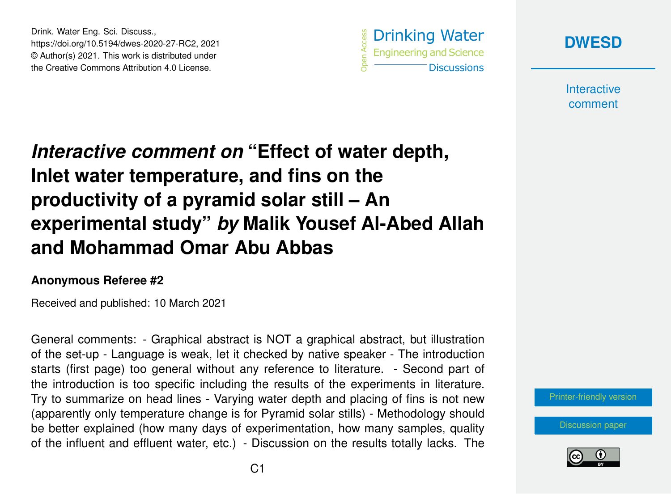Drink. Water Eng. Sci. Discuss., https://doi.org/10.5194/dwes-2020-27-RC2, 2021 © Author(s) 2021. This work is distributed under the Creative Commons Attribution 4.0 License.





**Interactive** comment

## *Interactive comment on* **"Effect of water depth, Inlet water temperature, and fins on the productivity of a pyramid solar still – An experimental study"** *by* **Malik Yousef Al-Abed Allah and Mohammad Omar Abu Abbas**

## **Anonymous Referee #2**

Received and published: 10 March 2021

General comments: - Graphical abstract is NOT a graphical abstract, but illustration of the set-up - Language is weak, let it checked by native speaker - The introduction starts (first page) too general without any reference to literature. - Second part of the introduction is too specific including the results of the experiments in literature. Try to summarize on head lines - Varying water depth and placing of fins is not new (apparently only temperature change is for Pyramid solar stills) - Methodology should be better explained (how many days of experimentation, how many samples, quality of the influent and effluent water, etc.) - Discussion on the results totally lacks. The

[Printer-friendly version](https://dwes.copernicus.org/preprints/dwes-2020-27/dwes-2020-27-RC2-print.pdf)

[Discussion paper](https://dwes.copernicus.org/preprints/dwes-2020-27)